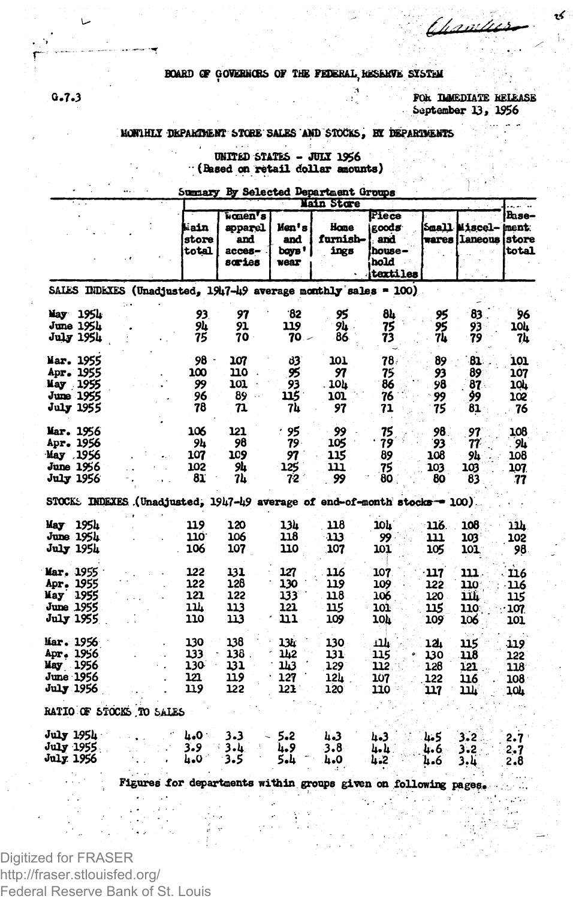### BOARD OF GOVERNORS OF THE FEDERAL RESERVE SYSTEM

FOR THMEDIATE RELEASE September 13, 1956

<u>t hani i</u>

### MONTHLY DEPARTMENT STORE SALES AND STOCKS, BY DEPARTMENTS

UNITED STATES - JULY 1956<br>(Based on retail dollar amounts)

## Summary By Selected Department Groups

|                   |          |                          | Main Store             |                                                 |                                |                                                                            |                                                       |      |                                             |                       |
|-------------------|----------|--------------------------|------------------------|-------------------------------------------------|--------------------------------|----------------------------------------------------------------------------|-------------------------------------------------------|------|---------------------------------------------|-----------------------|
|                   |          |                          | kain<br>store<br>total | women's<br>apparel<br>and<br>$acces-$<br>saries | Men's<br>and<br>bays '<br>wear | Home<br>furnish-<br>ings                                                   | Piece<br>goods<br>and.<br>house –<br>hold<br>textiles |      | Small Miscel- ment<br>wares llaneous istore | Base-<br><b>total</b> |
|                   |          |                          |                        |                                                 |                                | SALES INDEXES (Unadjusted, 1947-49 average monthly sales = 100)            |                                                       |      |                                             |                       |
|                   | May 1954 |                          | 93                     | 97                                              | 32                             | 95                                                                         | 84                                                    | 95   | 83.                                         | 96                    |
| June 1954         |          |                          | 94                     | 91                                              | 119                            | 94                                                                         | 75                                                    | 95   | 93                                          | 10L                   |
| <b>July 1954</b>  |          |                          | 75                     | 70                                              | $70 -$                         | 86                                                                         | 73                                                    | 74   | 79                                          | 74                    |
| Mar. 1955         |          |                          | 98                     | 107                                             | 83                             | 101                                                                        | 78.                                                   | 89   | 81                                          | 101                   |
| Apr. 1955         |          |                          | 100                    | 110                                             | 95                             | 97                                                                         | 75                                                    | 93   | 89                                          | 107                   |
| May 1955          |          |                          | 99                     | 101                                             | 93                             | . 10h                                                                      | 86                                                    | 98   | 87.                                         | 10h                   |
| June 1955         |          |                          | 96                     | 89<br>$\sim$ $\sim$                             | 115                            | 101                                                                        | 76                                                    | 99   | 99                                          | 102                   |
| July 1955         |          |                          | 78                     | 71                                              | 74                             | 97                                                                         | 71                                                    | 75   | 81                                          | 76                    |
| Mar. 1956         |          |                          | 106                    | 121                                             | : 95                           | 99                                                                         | 75                                                    | 98   | 97                                          | 108                   |
| Ap <b>r.</b> 1956 |          |                          | 94                     | 98                                              | $79 -$                         | 105                                                                        | 79                                                    | 93   | 77                                          | <b>94</b>             |
| May 1956          |          |                          | 107                    | 109                                             | 97                             | 115                                                                        | 89                                                    | 108  | 94                                          | 108                   |
| June 1956         |          |                          | 102                    | 9h                                              | 125                            | נננ                                                                        | 75                                                    | 103  | 103                                         | 107                   |
| <b>July 1956</b>  |          |                          | 81                     | 7h                                              | 72                             | 99                                                                         | 80                                                    | 80   | 83                                          | -77                   |
|                   |          |                          |                        |                                                 |                                | STOCK: INDEXES (Unadjusted, 1947-49 average of end-of-month stocks = 100). |                                                       |      |                                             |                       |
| May 1954          |          |                          | 119                    | 120                                             | 13h                            | 118                                                                        | 10h                                                   | 116. | 108                                         | 11h                   |
| June 1954         |          |                          | 110.                   | 106                                             | 118                            | ി13                                                                        | 99                                                    | 111  | 103                                         | 102                   |
| July 1954         |          |                          | 106                    | 107                                             | 110                            | 107                                                                        | 101                                                   | 105  | 101                                         | 98                    |
| Mar. 1955         |          |                          | 122                    | 131                                             | 127                            | 116                                                                        | 107                                                   | 117  | 111                                         | 116                   |
| <b>Apr. 1955</b>  |          |                          | 122                    | 128                                             | 130                            | 119                                                                        | 109                                                   | 122  | 110                                         | 116                   |
| May 1955          |          |                          | 121                    | 122                                             | 133                            | 118                                                                        | 106                                                   | 120. | m                                           | 115                   |
| June 1955         |          |                          | 11,                    | 113                                             | 121                            | 115                                                                        | 101                                                   | 115  | 110                                         | 107                   |
| <b>July 1955</b>  |          |                          | 110                    | 113                                             | נננ                            | 109                                                                        | 10h                                                   | 109  | 106                                         | 101                   |
| Mar. 1956         |          |                          | 130                    | 138                                             | 134                            | 130                                                                        | ŁШ                                                    | 12.  | 115                                         | 119                   |
| Apr. 1956         |          |                          | 133                    | 138                                             | 142                            | 131.                                                                       | 115                                                   | 130  | 118                                         | 122                   |
| May 1956          |          |                          | 130                    | 131                                             | 143                            | 129                                                                        | 112                                                   | 128  | 121                                         | 118                   |
| June 1956         |          |                          | 121                    | 119                                             | 127                            | 12L                                                                        | 107                                                   | 122  | 116                                         | 108                   |
| July 1956         |          |                          | 119                    | 122                                             | 121                            | 120                                                                        | 110                                                   | 117  | m                                           | 104                   |
|                   |          | RATIO OF STOCKS TO SALES |                        |                                                 |                                |                                                                            |                                                       |      |                                             |                       |
| July 1954 .       |          |                          | ۵۵۰ تا                 | 3.3                                             | 5.2                            | 4.3                                                                        | 4.3                                                   | 4.5  | 3.2                                         | 2.7                   |
| <b>July 1955</b>  |          |                          | 3.9                    | 3.և                                             | և.9                            | 3.8                                                                        | հեր                                                   | ն. 6 | 3.2                                         | 2.7                   |
| <b>July 1956</b>  |          |                          | հ.Օ                    | 3.5                                             | 5.4                            | 0- 4                                                                       | 4.2                                                   | 4.6  | 3.L                                         | 2.8                   |
|                   |          |                          |                        |                                                 |                                |                                                                            |                                                       |      |                                             |                       |
|                   |          |                          |                        |                                                 |                                | Figures for departments within groups given on following pages.            |                                                       |      |                                             |                       |

Digitized for FRASER http://fraser.stlouisfed.org/ Federal Reserve Bank of St. Louis

 $G - 7 - 3$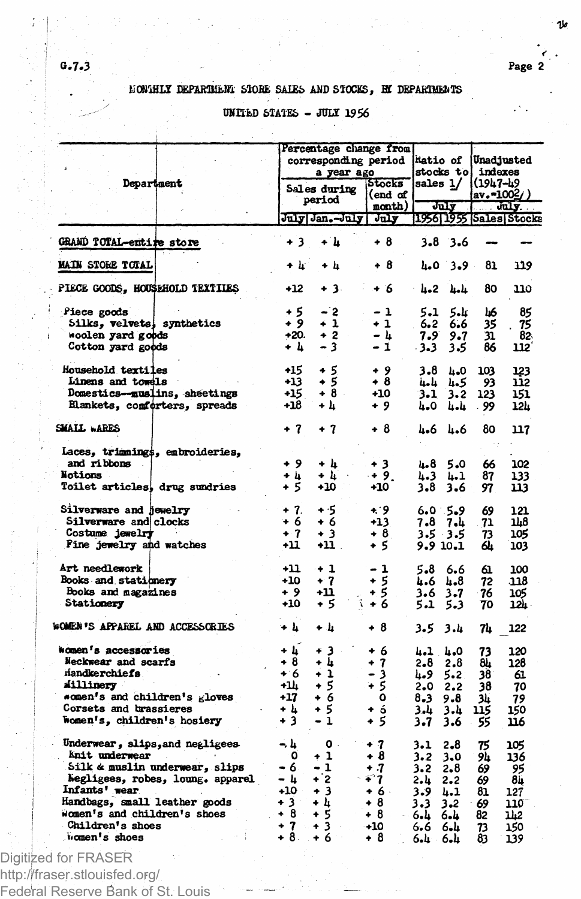ما 1

# HONTHLY DEPARTMENT STORE SALES AND STOCKS, BY DEPARTMENTS

## UNITED STATES - JULY 1956

|                                                     | Percentage change from |                     |                   |          |             |                     |                                                                                                     |  |  |
|-----------------------------------------------------|------------------------|---------------------|-------------------|----------|-------------|---------------------|-----------------------------------------------------------------------------------------------------|--|--|
|                                                     | corresponding period   |                     |                   |          | katio of    |                     | Unadjusted                                                                                          |  |  |
|                                                     |                        | a year ago          |                   |          |             | stocks tol indexes  |                                                                                                     |  |  |
| Department                                          |                        |                     | <b>Stocks</b>     | sales 1/ |             | 1(1947-49           |                                                                                                     |  |  |
|                                                     |                        | <b>Sales during</b> | (end of           |          |             | av.=100 <u>2</u> /) |                                                                                                     |  |  |
|                                                     |                        | period              | nonth)            |          | July        |                     | $\overline{\phantom{a}}$ $\overline{\phantom{a}}$ $\overline{\phantom{a}}$ $\overline{\phantom{a}}$ |  |  |
|                                                     |                        | July Jan. July      | July <sup>-</sup> |          |             |                     | 1956 1955 Sales Stocks                                                                              |  |  |
| GRAND TOTAL-entire store                            | + 3                    | + h                 | + 8               |          | $3.8$ 3.6   |                     |                                                                                                     |  |  |
| <b>MAIN STORE TOTAL</b>                             | + և                    | + հ                 | + 8               | 4.0      | $3 - 9$     | 81                  | 119                                                                                                 |  |  |
| PIECE GOODS, HOUSEHOLD TEXTILES                     | $+12$                  | + 3.                | + 6               | 4.2      | հետև        | 80                  | 110                                                                                                 |  |  |
| Piece goods                                         | + 5                    | - 2                 | - 1               | 5.1      | 5.4         | كلأ                 | 85                                                                                                  |  |  |
| Silks, velvets, synthetics                          | + 9                    | + 1                 | + 1               | 6.2      | 6.6         | 35                  | 75                                                                                                  |  |  |
| woolen yard goods                                   | $+20.$                 | $+2$                | – ៤               | 7.9      | 9.7         | 31                  | 82.                                                                                                 |  |  |
| Cotton yard goods                                   | + L                    | - 3                 | - 1               | $-3-3$   | 3.5         | 86                  | 112                                                                                                 |  |  |
| Household textiles                                  | +15                    | + 5                 | + 9               | 3.8      | 4.0         | 103                 | 123                                                                                                 |  |  |
| Linens and towels                                   | $+13$                  | ÷ś                  | + 8               | لبامية   | 4.5         | 93                  | 112                                                                                                 |  |  |
| Domestics--muslins, sheetings                       | +15                    | $+8$ -              | $+10$             | 3.1      | 3.2         | 123                 | 151                                                                                                 |  |  |
| Elankets, comforters, spreads                       | +18                    | + h                 | + 9               | 4.0      | 4.4         | 99                  | 124                                                                                                 |  |  |
| SMALL WARES                                         | + 7                    | + 7                 | + 8               | 4.6      | 4.6         | 80                  | 117                                                                                                 |  |  |
| Laces, trimmings, embroideries,                     |                        |                     |                   |          |             |                     |                                                                                                     |  |  |
| and ribbons                                         | $+9$                   | + 4                 | $+3$              | 4.8      | 5.0         | 66                  | 102                                                                                                 |  |  |
| Notions                                             | ۰<br>4                 | + 4                 | $+9.$             | 4.3      | 4.1         | 87                  | 133                                                                                                 |  |  |
| Toilet articles, drug sundries                      | + 5                    | +10                 | +10               | 3.8      | 3.6         | 97                  | 113                                                                                                 |  |  |
| Silverware and jewelry                              | $+7.$                  | + 5                 | $+9$              |          | 6.0.5.9     | 69                  | 121                                                                                                 |  |  |
| Silverware and clocks<br>$\mathcal{L}^{\text{max}}$ | + 6                    | + 6                 | $+13$             | 7.8      | 7.և         | 71                  | 1L8                                                                                                 |  |  |
| Costume jewelry                                     | $+7$                   | + 3                 | + 8               |          |             |                     | 105                                                                                                 |  |  |
|                                                     | +11                    |                     |                   |          | $3.5 - 3.5$ | 73                  |                                                                                                     |  |  |
| Fine jewelry and watches                            |                        | +11 .               | + 5               |          | 9.9 10.1    | 64                  | 103                                                                                                 |  |  |
| Art needlework                                      | +11                    | $+1$                | - 1               | 5.8      | 6.6         | 61                  | 100                                                                                                 |  |  |
| Books and stationery                                | $+10$                  | $+7$                | + 5               | 4.6      | հ.8         | 72                  | .118                                                                                                |  |  |
| Books and magazines                                 | + 9                    | +11                 | $+5$              | 3.6      | 3.7         | 76                  | 105                                                                                                 |  |  |
| Stationery                                          | +10                    | + 5                 | ĵ.<br>+ 6         | 5.1      | $5 - 3$     | 70                  | 12h                                                                                                 |  |  |
| WOMEN'S APPAREL AND ACCESSORIES                     | + 4                    | + h                 | + 8               | 3.5      | 3.4         | 74                  | 122                                                                                                 |  |  |
| women's accessories                                 | + h                    | + 3                 | + 6               | 4.1 4.0  |             | 73                  | 120                                                                                                 |  |  |
| Neckwear and scarfs                                 | + 8                    | + h                 | + 7               | 2.8      | 2.8         | 8h                  | 128                                                                                                 |  |  |
| <b>Handkerchiefs</b>                                | $+6$                   | + 1                 | - 3               | 4.9      | 5.2         | 38                  | 61                                                                                                  |  |  |
| Alllinery                                           | ÷u                     | + 5                 | + 5               | 2.0      | 2.2         | 38                  | 70                                                                                                  |  |  |
| *omen's and children's gloves                       | $+17$                  | $+6$                | ٥                 | 8.3      | 9.8         | 34                  | 79                                                                                                  |  |  |
| Corsets and brassieres                              | + h                    | $+5$                | $+ 6$             | باء3     | 3.4         | 115                 | 150                                                                                                 |  |  |
| Women's, children's hosiery                         | + 3                    | - 1                 | + 5               | 3.7      | 3.6         | 55                  | 116                                                                                                 |  |  |
| Underwear, slips, and negligees                     | - 4                    | $\mathbf{o}$ .      | + 7               | 3.1      | 2.8         | 75                  | 105                                                                                                 |  |  |
| Anit underwear                                      | ٥                      | + 1                 | + 8               | 3.2      | 3.0         | 94                  | 136                                                                                                 |  |  |
| Silk & muslin underwear, slips                      | - 6                    | - 1                 | + 7               | 3.2      | 2.8         | 69                  | 95                                                                                                  |  |  |
| hegligees, robes, loung. apparel                    | - 4                    | -2<br>۰             | $-47$             | 2.4      | 2.2         | 69                  | 84                                                                                                  |  |  |
| Infants' wear                                       | $+10$                  | $+3$                | + 6 -             | 3.9      | 4.1         | 81                  | 127                                                                                                 |  |  |
| Handbags, small leather goods                       | +3 =                   | + h                 | + 8               | 3.3      | $3 - 2$     | 69                  | 110                                                                                                 |  |  |
| women's and children's shoes                        | $+8$                   | + 5                 | +8                | 6.L      | 6.4         | 82                  | 112                                                                                                 |  |  |
| Children's shoes                                    | $+7$                   | $+3$ .              | $-10$             | 6.6      | 6.4         |                     | 150                                                                                                 |  |  |
| women's shoes                                       | +8⊹                    | $+6$                | +8                | 6.4 ·    | 6.4         | 73<br>83            | 139                                                                                                 |  |  |
|                                                     |                        |                     |                   |          |             |                     |                                                                                                     |  |  |

Digitized for FRASER<br>http://fraser.stlouisfed.org/<br>Federal Reserve Bank of St. Louis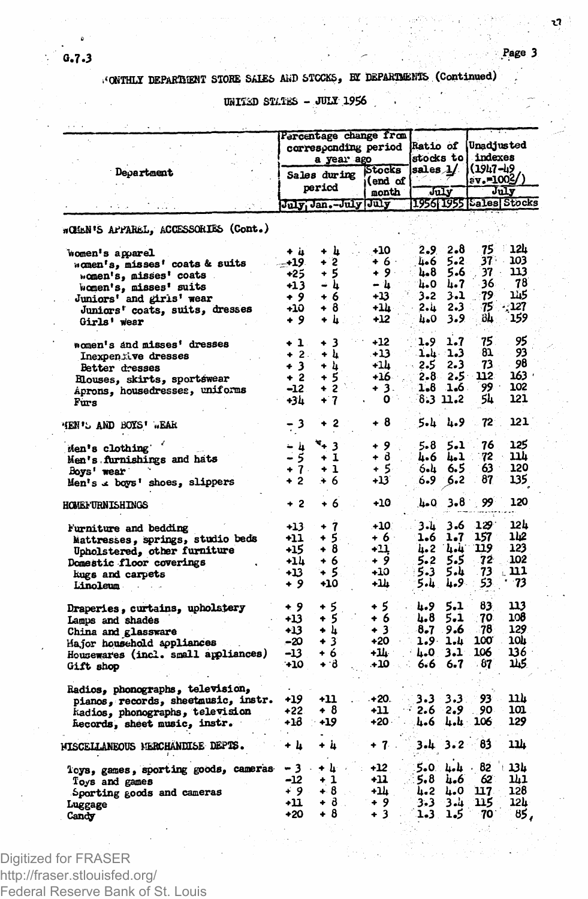UNITED STATES - JULY 1956

|                                                                         |                               | Percentage change from<br>corresponding period<br>a year ago | <b>Ratio of</b><br>stocks to |                 | Unadjusted<br>indexes |                                  |                 |  |
|-------------------------------------------------------------------------|-------------------------------|--------------------------------------------------------------|------------------------------|-----------------|-----------------------|----------------------------------|-----------------|--|
| Department                                                              |                               | Sales during                                                 | Stocks<br>(end of            | sales $\lambda$ |                       | (1947-49<br>sv.=1003/            |                 |  |
|                                                                         | period<br>July Jan.-July July |                                                              | month                        | تتس             |                       | July<br>1956 1955   Sales Stocks |                 |  |
|                                                                         |                               |                                                              |                              |                 |                       |                                  |                 |  |
| wOMEN'S APPAREL, ACCESSORIES (Cont.)                                    |                               |                                                              |                              |                 |                       |                                  |                 |  |
| women's apparel                                                         | + is                          | + h<br>$+2$                                                  | $+10$<br>$+6.$               | 2.9.<br>4.6     | 2.8<br>5.2            | 75<br>37.                        | T<br>124<br>103 |  |
| momen's, misses' coats & suits                                          | $+19.$<br>+25                 | $+5$                                                         | $+9.$                        | հ.8             | 5.6                   | 37                               | 113             |  |
| "cmen's, misses' coats                                                  | $+13$                         | – հ                                                          | – և                          | 4.0             | 4.7                   | 36                               | 78              |  |
| women's, misses' suits                                                  | + 9                           | + 6                                                          | $+13$                        | $3 - 2$         | 3.1                   | 79                               | 145             |  |
| Juniors' and girls' wear                                                | +10                           | + 8                                                          | +1h-                         | 2. u            | 2.3                   | 75                               | 127             |  |
| Juniors' coats, suits, dresses                                          | + 9                           | + 4.                                                         | +12                          | 4.0             | 3.9                   | öЩ.                              | 159             |  |
| Girls' wear                                                             |                               |                                                              |                              |                 |                       |                                  |                 |  |
| women's and misses' dresses                                             | + 1.                          | + 3                                                          | $+12$                        | 1.9             | 1.7                   | 75                               | 95              |  |
| Inexpensive dresses                                                     | $+2.$                         | + 4                                                          | - 13                         |                 | 1.4 1.3               | 81                               | 93              |  |
| Better dresses                                                          | + 3                           | + h                                                          | +14                          | 2.5             | 2.3                   | 73                               | 98              |  |
| Elouses, skirts, sportswear                                             | $+2$                          | + 5                                                          | $+16$                        | $2 - 8$         | 2.5                   | 112                              | 163.            |  |
| Aprons, housedresses, uniforms                                          | $-12.$                        | $+2.5$                                                       | + 3.                         | 1.8             | 1.6.                  | ۰ وو                             | 102             |  |
| Furs                                                                    | +34                           | $+7$                                                         | o                            |                 | 8.3 11.2              | 54                               | 121             |  |
| HEN'L AND BOYS' EAR                                                     | 3                             | $+2$                                                         | +8                           | 5.և             | 4.9                   | $72^{\circ}$                     | 121             |  |
| Men's clothing                                                          |                               | ×+ 3                                                         | + 9                          | 5.8             | 5.1                   | 76                               | 125             |  |
| Men's furnishings and hats                                              | $\frac{1}{5}$<br>5            | $+1$                                                         | $+ \delta$                   | հ.ճ             | 4.1                   | 72. .                            | 11h             |  |
| Boys' wear                                                              | $+7.$                         | $+1$                                                         | + 5                          | 6.և             | 6.5                   | 63                               | 120             |  |
| Men's « boys' shoes, slippers                                           | + 2                           | + 6                                                          | +13                          | 6.9             | 5.2                   | 87                               | 135             |  |
| <b>HOMEF URNISHINGS</b>                                                 | + 2                           | + 6                                                          | +10                          | 4.0             | 3.81                  | 99                               | 120             |  |
| Furniture and bedding                                                   | $+13$                         | $+7$                                                         | +10.                         | 3.L             | 3.6                   | 129.                             | 12h             |  |
| Mattresses, springs, studio beds                                        | -11                           | 5<br>۰                                                       | + 6 ·                        | 1.6             | 1.7                   | 157                              | 112             |  |
| Upholstered, other furniture                                            | +15                           | + 8                                                          | +11                          | 4.2             | نه به                 | 119                              | 123             |  |
| Domestic floor coverings                                                | +14                           | + 6                                                          | + 9                          | 5.2             | 5.5                   | 72                               | 102             |  |
| kugs and carpets                                                        | +13                           | + 5                                                          | +10                          | 5.3             | 5.4                   | 73                               | 111             |  |
| Linoleum                                                                | + 9                           | +10                                                          | ىللە                         | 5.4.            | 4.9                   | 53                               | -73             |  |
| Draperies, curtains, upholstery                                         | + 9                           | + 5                                                          | + 5                          | 4.9             | 5.1                   | 83                               | 113             |  |
| Lamps and shades                                                        | +13                           | + 5                                                          | + 6                          | հ.8             | 5.1                   | 70                               | 108             |  |
| China and glassware                                                     | $+13$                         | + հ                                                          | + 3                          | $8-7$           | 9.6                   | - 78                             | 129             |  |
| Major household appliances                                              | -20                           | + 3                                                          | +20                          | 1.9.            | 1.4                   | 100                              | 10h             |  |
| Housewares (incl. small appliances)                                     | -13                           | + 6                                                          | +14 −                        | L.O             | 3.1                   | 106                              | 136             |  |
| Gift shop                                                               | 410                           | ÷ d                                                          | - 10                         | 6.6             | 6.7                   | - 87                             | 115             |  |
|                                                                         |                               |                                                              |                              |                 |                       |                                  |                 |  |
| Radios, phonographs, television,<br>pianos, records, sheetmusic, instr. | +19                           | +11                                                          | $+20.$                       | 3.3             | 3.3                   | 93.                              | 11 h            |  |
| kadios, phonographs, television                                         | $+22.$                        | + 8                                                          | -11                          | 2.6             | 2.9                   | 90.                              | 101             |  |
| hecords, sheet music, instr.                                            | +18                           | +19                                                          | $+20$                        | 4.6             | ∴ تامنا               | 106                              | 129             |  |
| MISCELLANEOUS MERCHANDISE DEPTS.                                        | + h                           | + 4                                                          | $+7$ .                       | $3.4 \quad 3.2$ |                       | 83                               | 114             |  |
| loys, games, sporting goods, cameras                                    | -3.                           | + կ⊢∍                                                        | +12                          |                 | 5.0 և և               | 82                               | 13 L            |  |
| Toys and games                                                          | -12                           | + 1                                                          | $+11$                        | 5.8             | 'n.6                  | 62                               | ıh1             |  |
| Sporting goods and cameras                                              | ∔ 9                           | $+8$                                                         | +14                          | 4.2             | 4.0                   | 117.                             | 128             |  |
|                                                                         |                               |                                                              |                              |                 |                       |                                  | 12 L            |  |
| Luggage                                                                 | +11                           | + მ                                                          | + 9                          | 3.3             | ىن 3                  | 115                              |                 |  |

Digitized for FRASER http://fraser.stlouisfed.org/ Federal Reserve Bank of St. Louis r.